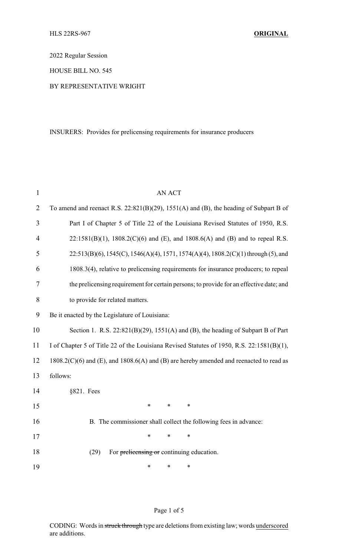2022 Regular Session

HOUSE BILL NO. 545

## BY REPRESENTATIVE WRIGHT

INSURERS: Provides for prelicensing requirements for insurance producers

| $\mathbf{1}$   | <b>AN ACT</b>                                                                               |
|----------------|---------------------------------------------------------------------------------------------|
| $\overline{2}$ | To amend and reenact R.S. $22:821(B)(29)$ , $1551(A)$ and (B), the heading of Subpart B of  |
| 3              | Part I of Chapter 5 of Title 22 of the Louisiana Revised Statutes of 1950, R.S.             |
| $\overline{4}$ | $22:1581(B)(1)$ , 1808.2(C)(6) and (E), and 1808.6(A) and (B) and to repeal R.S.            |
| 5              | 22:513(B)(6), 1545(C), 1546(A)(4), 1571, 1574(A)(4), 1808.2(C)(1) through (5), and          |
| 6              | 1808.3(4), relative to prelicensing requirements for insurance producers; to repeal         |
| 7              | the prelicensing requirement for certain persons; to provide for an effective date; and     |
| 8              | to provide for related matters.                                                             |
| 9              | Be it enacted by the Legislature of Louisiana:                                              |
| 10             | Section 1. R.S. $22:821(B)(29)$ , $1551(A)$ and (B), the heading of Subpart B of Part       |
| 11             | I of Chapter 5 of Title 22 of the Louisiana Revised Statutes of 1950, R.S. 22:1581(B)(1),   |
| 12             | $1808.2(C)(6)$ and (E), and $1808.6(A)$ and (B) are hereby amended and reenacted to read as |
| 13             | follows:                                                                                    |
| 14             | §821. Fees                                                                                  |
| 15             | $\ast$<br>$\ast$<br>$\ast$                                                                  |
| 16             | B. The commissioner shall collect the following fees in advance:                            |
| 17             | $\ast$<br>$\ast$<br>*                                                                       |
| 18             | (29)<br>For prelicensing or continuing education.                                           |
| 19             | *<br>$\ast$<br>*                                                                            |

## Page 1 of 5

CODING: Words in struck through type are deletions from existing law; words underscored are additions.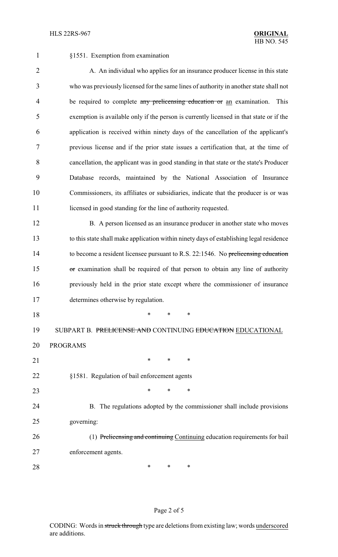§1551. Exemption from examination

2 A. An individual who applies for an insurance producer license in this state who was previously licensed for the same lines of authority in another state shall not 4 be required to complete any prelicensing education or an examination. This exemption is available only if the person is currently licensed in that state or if the application is received within ninety days of the cancellation of the applicant's previous license and if the prior state issues a certification that, at the time of cancellation, the applicant was in good standing in that state or the state's Producer Database records, maintained by the National Association of Insurance Commissioners, its affiliates or subsidiaries, indicate that the producer is or was 11 licensed in good standing for the line of authority requested.

12 B. A person licensed as an insurance producer in another state who moves to this state shall make application within ninety days of establishing legal residence to become a resident licensee pursuant to R.S. 22:1546. No prelicensing education 15 or examination shall be required of that person to obtain any line of authority previously held in the prior state except where the commissioner of insurance determines otherwise by regulation.

\* \* \*

19 SUBPART B. PRELICENSE AND CONTINUING EDUCATION EDUCATIONAL

PROGRAMS

§1581. Regulation of bail enforcement agents

21 \* \* \* \*

**\*** \* \* \*

 B. The regulations adopted by the commissioner shall include provisions governing:

 (1) Prelicensing and continuing Continuing education requirements for bail enforcement agents.

**\*** \* \* \*

## Page 2 of 5

CODING: Words in struck through type are deletions from existing law; words underscored are additions.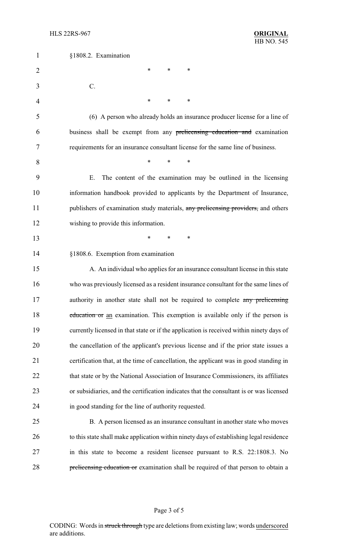| $\mathbf{1}$   | §1808.2. Examination                                                                     |
|----------------|------------------------------------------------------------------------------------------|
| $\overline{2}$ | ∗<br>*<br>*                                                                              |
| 3              | C.                                                                                       |
| 4              | ∗<br>*<br>∗                                                                              |
| 5              | (6) A person who already holds an insurance producer license for a line of               |
| 6              | business shall be exempt from any prelicensing education and examination                 |
| 7              | requirements for an insurance consultant license for the same line of business.          |
| 8              | $\ast$<br>∗<br>*                                                                         |
| 9              | The content of the examination may be outlined in the licensing<br>Ε.                    |
| 10             | information handbook provided to applicants by the Department of Insurance,              |
| 11             | publishers of examination study materials, any prelicensing providers, and others        |
| 12             | wishing to provide this information.                                                     |
| 13             | ∗<br>*<br>$\ast$                                                                         |
| 14             | §1808.6. Exemption from examination                                                      |
| 15             | A. An individual who applies for an insurance consultant license in this state           |
| 16             | who was previously licensed as a resident insurance consultant for the same lines of     |
| 17             | authority in another state shall not be required to complete any prelicensing            |
| 18             | education or an examination. This exemption is available only if the person is           |
| 19             | currently licensed in that state or if the application is received within ninety days of |
| 20             | the cancellation of the applicant's previous license and if the prior state issues a     |
| 21             | certification that, at the time of cancellation, the applicant was in good standing in   |
| 22             | that state or by the National Association of Insurance Commissioners, its affiliates     |
| 23             | or subsidiaries, and the certification indicates that the consultant is or was licensed  |
| 24             | in good standing for the line of authority requested.                                    |
| 25             | B. A person licensed as an insurance consultant in another state who moves               |
| 26             | to this state shall make application within ninety days of establishing legal residence  |
| 27             | in this state to become a resident licensee pursuant to R.S. 22:1808.3. No               |
| 28             | prelicensing education or examination shall be required of that person to obtain a       |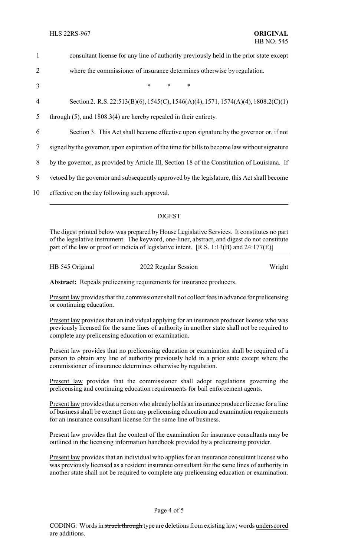| $\mathbf{1}$   | consultant license for any line of authority previously held in the prior state except        |
|----------------|-----------------------------------------------------------------------------------------------|
| $\overline{2}$ | where the commissioner of insurance determines otherwise by regulation.                       |
| 3              | $\ast$<br>*                                                                                   |
| 4              | Section 2. R.S. 22:513(B)(6), 1545(C), 1546(A)(4), 1571, 1574(A)(4), 1808.2(C)(1)             |
| 5              | through $(5)$ , and $1808.3(4)$ are hereby repealed in their entirety.                        |
| 6              | Section 3. This Act shall become effective upon signature by the governor or, if not          |
| 7              | signed by the governor, upon expiration of the time for bills to become law without signature |
| 8              | by the governor, as provided by Article III, Section 18 of the Constitution of Louisiana. If  |
| 9              | vetoed by the governor and subsequently approved by the legislature, this Act shall become    |
| 10             | effective on the day following such approval.                                                 |
|                |                                                                                               |

## DIGEST

The digest printed below was prepared by House Legislative Services. It constitutes no part of the legislative instrument. The keyword, one-liner, abstract, and digest do not constitute part of the law or proof or indicia of legislative intent. [R.S. 1:13(B) and 24:177(E)]

HB 545 Original 2022 Regular Session Wright

**Abstract:** Repeals prelicensing requirements for insurance producers.

Present law provides that the commissioner shall not collect fees in advance for prelicensing or continuing education.

Present law provides that an individual applying for an insurance producer license who was previously licensed for the same lines of authority in another state shall not be required to complete any prelicensing education or examination.

Present law provides that no prelicensing education or examination shall be required of a person to obtain any line of authority previously held in a prior state except where the commissioner of insurance determines otherwise by regulation.

Present law provides that the commissioner shall adopt regulations governing the prelicensing and continuing education requirements for bail enforcement agents.

Present law provides that a person who alreadyholds an insurance producer license for a line of business shall be exempt from any prelicensing education and examination requirements for an insurance consultant license for the same line of business.

Present law provides that the content of the examination for insurance consultants may be outlined in the licensing information handbook provided by a prelicensing provider.

Present law provides that an individual who applies for an insurance consultant license who was previously licensed as a resident insurance consultant for the same lines of authority in another state shall not be required to complete any prelicensing education or examination.